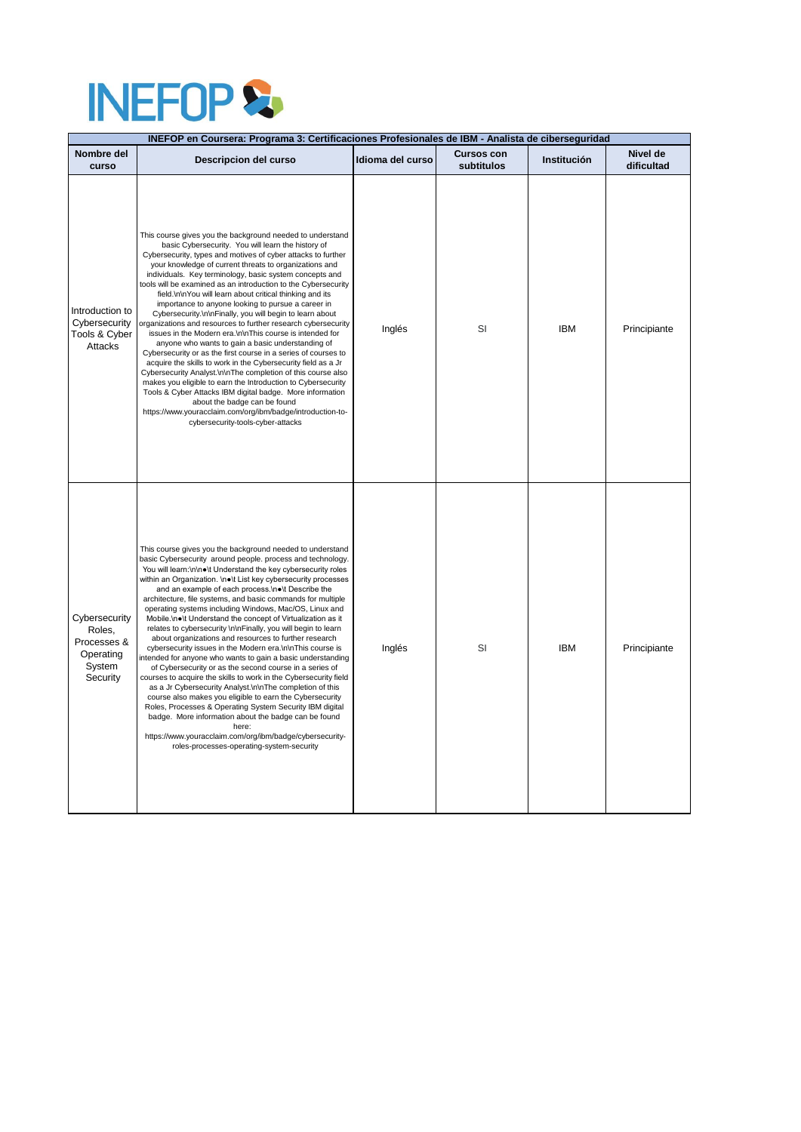## INEFOP &

| INEFOP en Coursera: Programa 3: Certificaciones Profesionales de IBM - Analista de ciberseguridad |                                                                                                                                                                                                                                                                                                                                                                                                                                                                                                                                                                                                                                                                                                                                                                                                                                                                                                                                                                                                                                                                                                                                                                                                                                                             |                  |                                 |                    |                        |  |  |
|---------------------------------------------------------------------------------------------------|-------------------------------------------------------------------------------------------------------------------------------------------------------------------------------------------------------------------------------------------------------------------------------------------------------------------------------------------------------------------------------------------------------------------------------------------------------------------------------------------------------------------------------------------------------------------------------------------------------------------------------------------------------------------------------------------------------------------------------------------------------------------------------------------------------------------------------------------------------------------------------------------------------------------------------------------------------------------------------------------------------------------------------------------------------------------------------------------------------------------------------------------------------------------------------------------------------------------------------------------------------------|------------------|---------------------------------|--------------------|------------------------|--|--|
| Nombre del<br>curso                                                                               | Descripcion del curso                                                                                                                                                                                                                                                                                                                                                                                                                                                                                                                                                                                                                                                                                                                                                                                                                                                                                                                                                                                                                                                                                                                                                                                                                                       | Idioma del curso | <b>Cursos con</b><br>subtitulos | <b>Institución</b> | Nivel de<br>dificultad |  |  |
| Introduction to<br>Cybersecurity<br>Tools & Cyber<br>Attacks                                      | This course gives you the background needed to understand<br>basic Cybersecurity. You will learn the history of<br>Cybersecurity, types and motives of cyber attacks to further<br>your knowledge of current threats to organizations and<br>individuals. Key terminology, basic system concepts and<br>tools will be examined as an introduction to the Cybersecurity<br>field.\n\nYou will learn about critical thinking and its<br>importance to anyone looking to pursue a career in<br>Cybersecurity.\n\nFinally, you will begin to learn about<br>organizations and resources to further research cybersecurity<br>issues in the Modern era.\n\nThis course is intended for<br>anyone who wants to gain a basic understanding of<br>Cybersecurity or as the first course in a series of courses to<br>acquire the skills to work in the Cybersecurity field as a Jr<br>Cybersecurity Analyst.\n\nThe completion of this course also<br>makes you eligible to earn the Introduction to Cybersecurity<br>Tools & Cyber Attacks IBM digital badge. More information<br>about the badge can be found<br>https://www.youracclaim.com/org/ibm/badge/introduction-to-<br>cybersecurity-tools-cyber-attacks                                                   | Inglés           | SI                              | <b>IBM</b>         | Principiante           |  |  |
| Cybersecurity<br>Roles,<br>Processes &<br>Operating<br>System<br>Security                         | This course gives you the background needed to understand<br>basic Cybersecurity around people. process and technology.<br>You will learn:\n\n●\t Understand the key cybersecurity roles<br>within an Organization. \n. \t List key cybersecurity processes<br>and an example of each process.\n.\t Describe the<br>architecture, file systems, and basic commands for multiple<br>operating systems including Windows, Mac/OS, Linux and<br>Mobile.\n●\t Understand the concept of Virtualization as it<br>relates to cybersecurity \n\nFinally, you will begin to learn<br>about organizations and resources to further research<br>cybersecurity issues in the Modern era.\n\nThis course is<br>intended for anyone who wants to gain a basic understanding<br>of Cybersecurity or as the second course in a series of<br>courses to acquire the skills to work in the Cybersecurity field<br>as a Jr Cybersecurity Analyst.\n\nThe completion of this<br>course also makes you eligible to earn the Cybersecurity<br>Roles, Processes & Operating System Security IBM digital<br>badge. More information about the badge can be found<br>here:<br>https://www.youracclaim.com/org/ibm/badge/cybersecurity-<br>roles-processes-operating-system-security | Inglés           | SI                              | <b>IBM</b>         | Principiante           |  |  |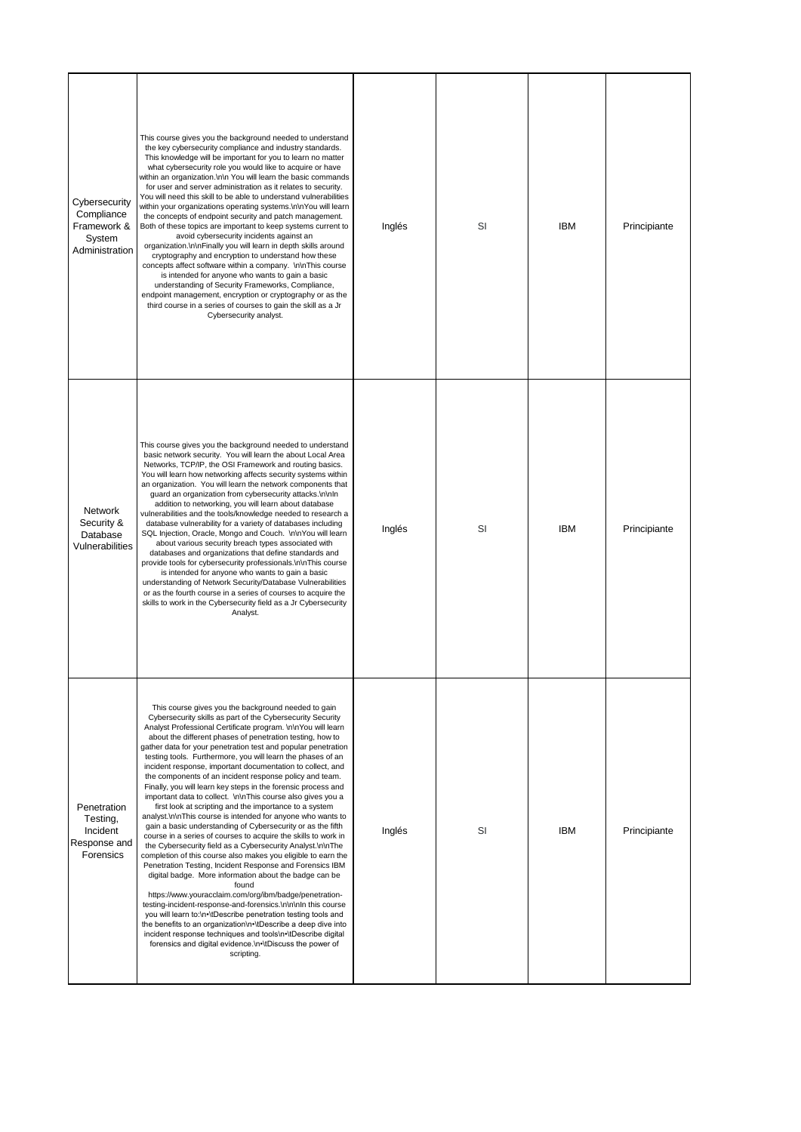| Cybersecurity<br>Compliance<br>Framework &<br>System<br>Administration | This course gives you the background needed to understand<br>the key cybersecurity compliance and industry standards.<br>This knowledge will be important for you to learn no matter<br>what cybersecurity role you would like to acquire or have<br>within an organization.\n\n You will learn the basic commands<br>for user and server administration as it relates to security.<br>You will need this skill to be able to understand vulnerabilities<br>within your organizations operating systems.\n\nYou will learn<br>the concepts of endpoint security and patch management.<br>Both of these topics are important to keep systems current to<br>avoid cybersecurity incidents against an<br>organization.\n\nFinally you will learn in depth skills around<br>cryptography and encryption to understand how these<br>concepts affect software within a company. \n\nThis course<br>is intended for anyone who wants to gain a basic<br>understanding of Security Frameworks, Compliance,<br>endpoint management, encryption or cryptography or as the<br>third course in a series of courses to gain the skill as a Jr<br>Cybersecurity analyst.                                                                                                                                                                                                                                                                                                                                                                                                           | Inglés | SI | <b>IBM</b> | Principiante |
|------------------------------------------------------------------------|----------------------------------------------------------------------------------------------------------------------------------------------------------------------------------------------------------------------------------------------------------------------------------------------------------------------------------------------------------------------------------------------------------------------------------------------------------------------------------------------------------------------------------------------------------------------------------------------------------------------------------------------------------------------------------------------------------------------------------------------------------------------------------------------------------------------------------------------------------------------------------------------------------------------------------------------------------------------------------------------------------------------------------------------------------------------------------------------------------------------------------------------------------------------------------------------------------------------------------------------------------------------------------------------------------------------------------------------------------------------------------------------------------------------------------------------------------------------------------------------------------------------------------------------------------------------|--------|----|------------|--------------|
| Network<br>Security &<br>Database<br>Vulnerabilities                   | This course gives you the background needed to understand<br>basic network security. You will learn the about Local Area<br>Networks, TCP/IP, the OSI Framework and routing basics.<br>You will learn how networking affects security systems within<br>an organization. You will learn the network components that<br>guard an organization from cybersecurity attacks.\n\nIn<br>addition to networking, you will learn about database<br>vulnerabilities and the tools/knowledge needed to research a<br>database vulnerability for a variety of databases including<br>SQL Injection, Oracle, Mongo and Couch. \n\nYou will learn<br>about various security breach types associated with<br>databases and organizations that define standards and<br>provide tools for cybersecurity professionals.\n\nThis course<br>is intended for anyone who wants to gain a basic<br>understanding of Network Security/Database Vulnerabilities<br>or as the fourth course in a series of courses to acquire the<br>skills to work in the Cybersecurity field as a Jr Cybersecurity<br>Analyst.                                                                                                                                                                                                                                                                                                                                                                                                                                                                              | Inglés | SI | <b>IBM</b> | Principiante |
| Penetration<br>Testing,<br>Incident<br>Response and<br>Forensics       | This course gives you the background needed to gain<br>Cybersecurity skills as part of the Cybersecurity Security<br>Analyst Professional Certificate program. \n\nYou will learn<br>about the different phases of penetration testing, how to<br>gather data for your penetration test and popular penetration<br>testing tools. Furthermore, you will learn the phases of an<br>incident response, important documentation to collect, and<br>the components of an incident response policy and team.<br>Finally, you will learn key steps in the forensic process and<br>important data to collect. \n\nThis course also gives you a<br>first look at scripting and the importance to a system<br>analyst.\n\nThis course is intended for anyone who wants to<br>gain a basic understanding of Cybersecurity or as the fifth<br>course in a series of courses to acquire the skills to work in<br>the Cybersecurity field as a Cybersecurity Analyst.\n\nThe<br>completion of this course also makes you eligible to earn the<br>Penetration Testing, Incident Response and Forensics IBM<br>digital badge. More information about the badge can be<br>found<br>https://www.youracclaim.com/org/ibm/badge/penetration-<br>testing-incident-response-and-forensics.\n\n\nIn this course<br>you will learn to:\n.\tDescribe penetration testing tools and<br>the benefits to an organization\n•\tDescribe a deep dive into<br>incident response techniques and tools\n•\tDescribe digital<br>forensics and digital evidence.\n•\tDiscuss the power of<br>scripting. | Inglés | SI | <b>IBM</b> | Principiante |